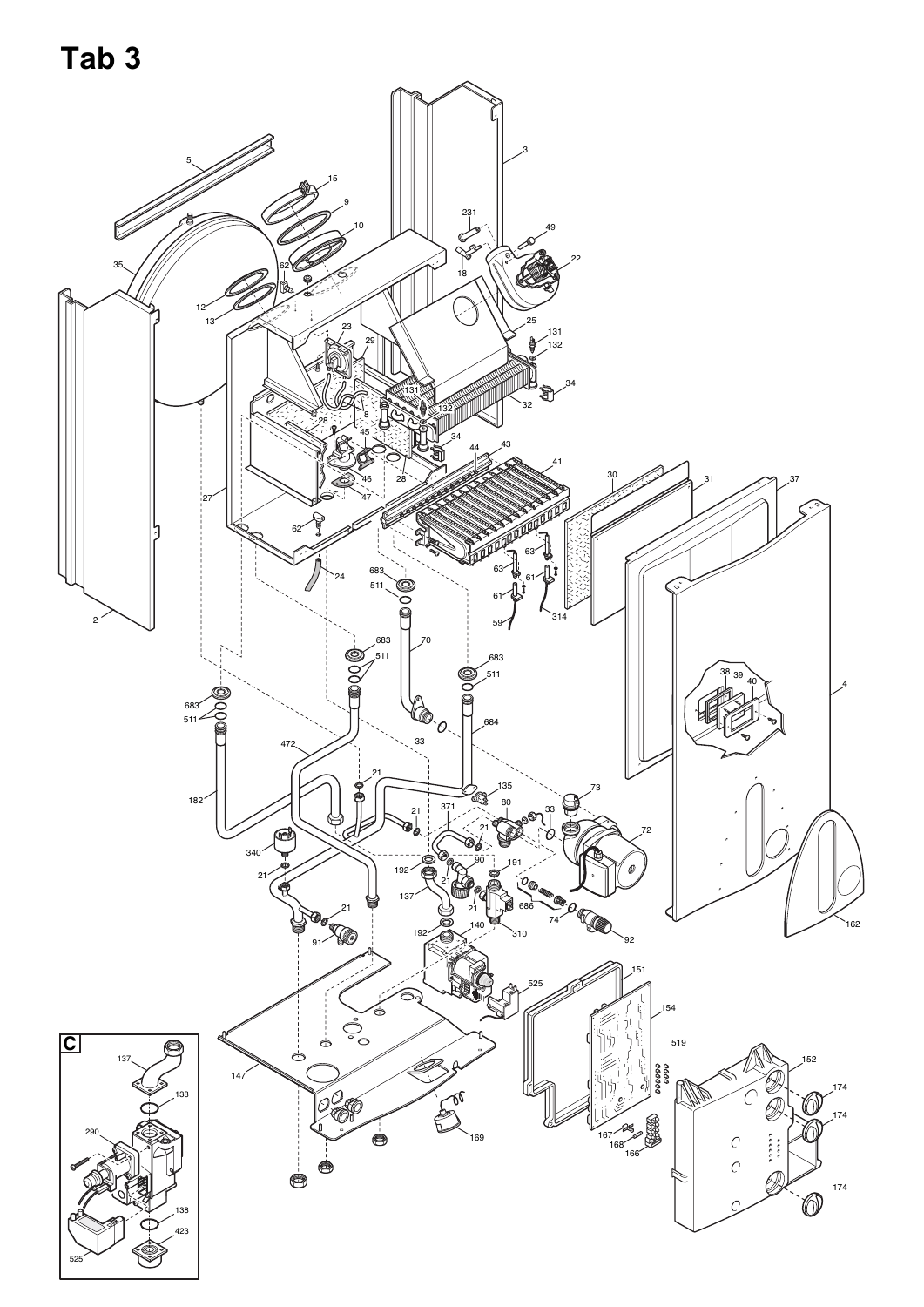**Tab 3**

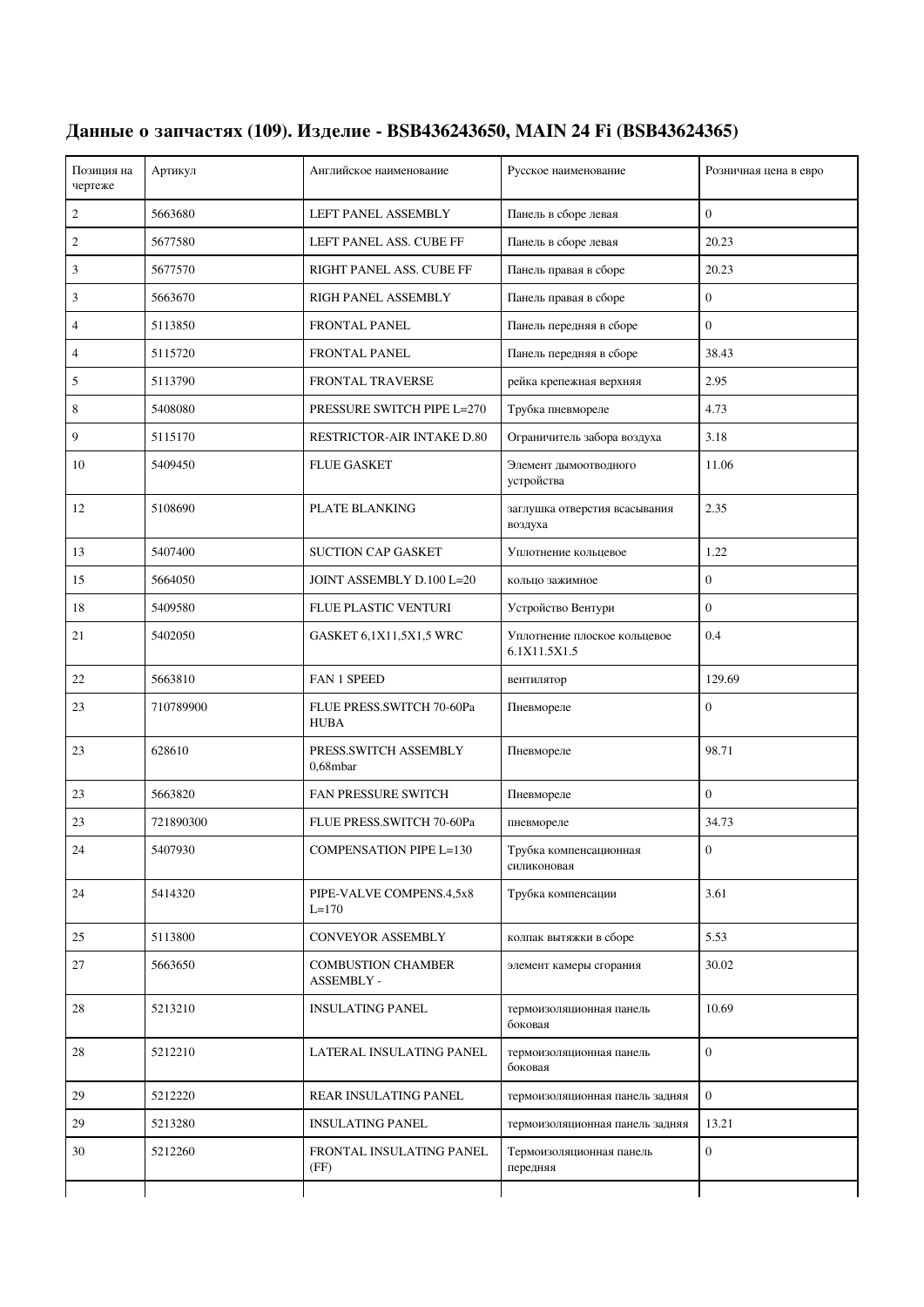| Позиция на<br>чертеже | Артикул   | Английское наименование                  | Русское наименование                         | Розничная цена в евро |
|-----------------------|-----------|------------------------------------------|----------------------------------------------|-----------------------|
| 2                     | 5663680   | LEFT PANEL ASSEMBLY                      | Панель в сборе левая                         | $\overline{0}$        |
| 2                     | 5677580   | LEFT PANEL ASS. CUBE FF                  | Панель в сборе левая                         | 20.23                 |
| 3                     | 5677570   | RIGHT PANEL ASS. CUBE FF                 | Панель правая в сборе                        | 20.23                 |
| 3                     | 5663670   | RIGH PANEL ASSEMBLY                      | Панель правая в сборе                        | $\boldsymbol{0}$      |
| 4                     | 5113850   | <b>FRONTAL PANEL</b>                     | Панель передняя в сборе                      | $\boldsymbol{0}$      |
| 4                     | 5115720   | <b>FRONTAL PANEL</b>                     | Панель передняя в сборе                      | 38.43                 |
| 5                     | 5113790   | FRONTAL TRAVERSE                         | рейка крепежная верхняя                      | 2.95                  |
| 8                     | 5408080   | PRESSURE SWITCH PIPE L=270               | Трубка пневмореле                            | 4.73                  |
| 9                     | 5115170   | RESTRICTOR-AIR INTAKE D.80               | Ограничитель забора воздуха                  | 3.18                  |
| 10                    | 5409450   | <b>FLUE GASKET</b>                       | Элемент дымоотводного<br>устройства          | 11.06                 |
| 12                    | 5108690   | PLATE BLANKING                           | заглушка отверстия всасывания<br>воздуха     | 2.35                  |
| 13                    | 5407400   | <b>SUCTION CAP GASKET</b>                | Уплотнение кольцевое                         | 1.22                  |
| 15                    | 5664050   | JOINT ASSEMBLY D.100 L=20                | кольцо зажимное                              | $\boldsymbol{0}$      |
| 18                    | 5409580   | FLUE PLASTIC VENTURI                     | Устройство Вентури                           | $\overline{0}$        |
| 21                    | 5402050   | GASKET 6,1X11,5X1,5 WRC                  | Уплотнение плоское кольцевое<br>6.1X11.5X1.5 | 0.4                   |
| 22                    | 5663810   | <b>FAN 1 SPEED</b>                       | вентилятор                                   | 129.69                |
| 23                    | 710789900 | FLUE PRESS.SWITCH 70-60Pa<br><b>HUBA</b> | Пневмореле                                   | $\overline{0}$        |
| 23                    | 628610    | PRESS.SWITCH ASSEMBLY<br>$0.68$ mbar     | Пневмореле                                   | 98.71                 |
| 23                    | 5663820   | <b>FAN PRESSURE SWITCH</b>               | Пневмореле                                   | $\overline{0}$        |
| 23                    | 721890300 | FLUE PRESS.SWITCH 70-60Pa                | пневмореле                                   | 34.73                 |
| 24                    | 5407930   | <b>COMPENSATION PIPE L=130</b>           | Трубка компенсационная<br>силиконовая        | $\boldsymbol{0}$      |
| 24                    | 5414320   | PIPE-VALVE COMPENS.4,5x8<br>$L = 170$    | Трубка компенсации                           | 3.61                  |
| 25                    | 5113800   | <b>CONVEYOR ASSEMBLY</b>                 | колпак вытяжки в сборе                       | 5.53                  |
| 27                    | 5663650   | <b>COMBUSTION CHAMBER</b><br>ASSEMBLY -  | элемент камеры сгорания                      | 30.02                 |
| $28\,$                | 5213210   | <b>INSULATING PANEL</b>                  | термоизоляционная панель<br>боковая          | 10.69                 |
| 28                    | 5212210   | LATERAL INSULATING PANEL                 | термоизоляционная панель<br>боковая          | $\boldsymbol{0}$      |
| 29                    | 5212220   | REAR INSULATING PANEL                    | термоизоляционная панель задняя              | $\boldsymbol{0}$      |
| 29                    | 5213280   | <b>INSULATING PANEL</b>                  | термоизоляционная панель задняя              | 13.21                 |
| 30                    | 5212260   | FRONTAL INSULATING PANEL<br>(FF)         | Термоизоляционная панель<br>передняя         | $\boldsymbol{0}$      |
|                       |           |                                          |                                              |                       |

## **Данные о запчастях (109). Изделие - BSB436243650, MAIN 24 Fi (BSB43624365)**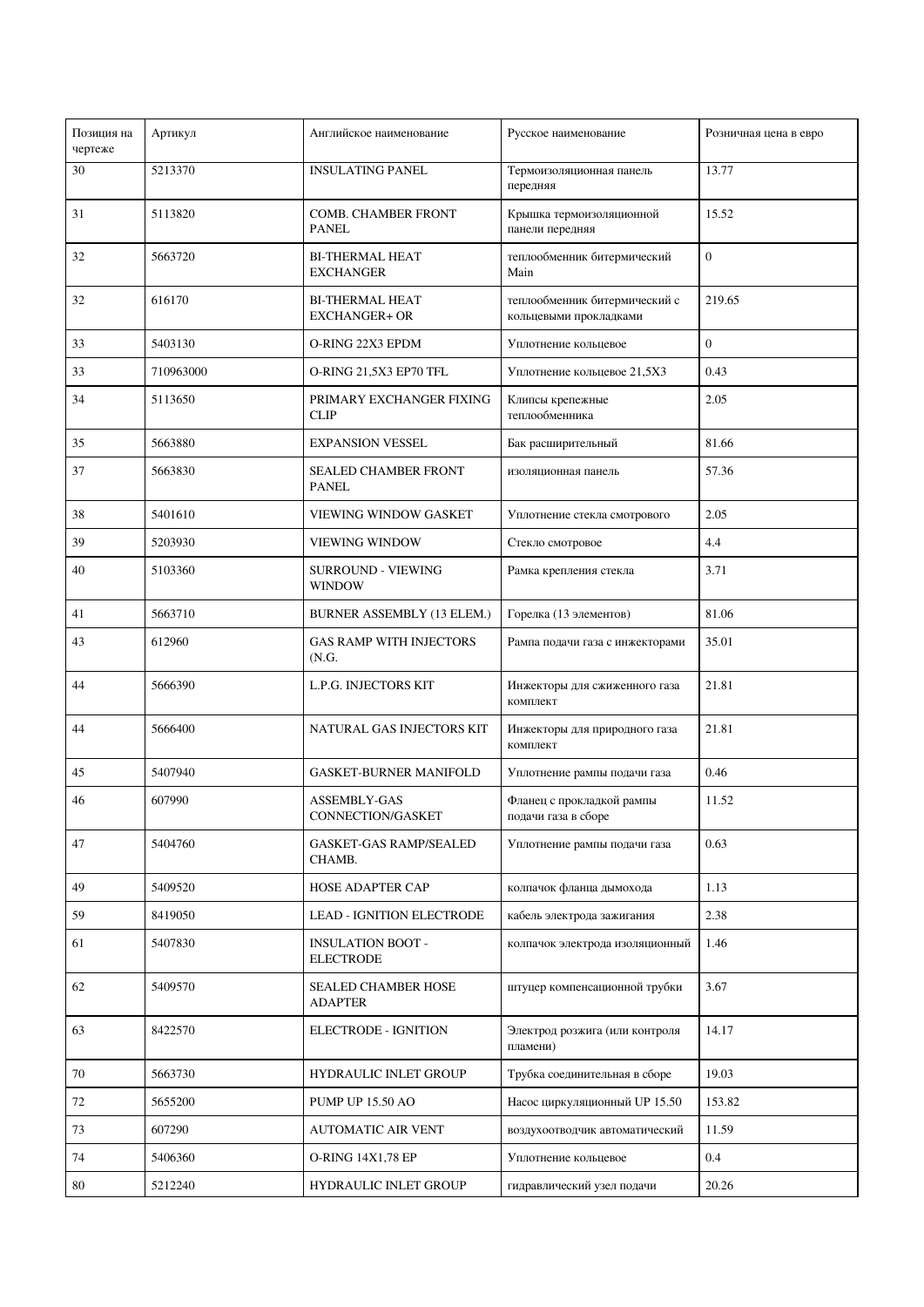| Позиция на<br>чертеже | Артикул   | Английское наименование                        | Русское наименование                                    | Розничная цена в евро |
|-----------------------|-----------|------------------------------------------------|---------------------------------------------------------|-----------------------|
| 30                    | 5213370   | <b>INSULATING PANEL</b>                        | Термоизоляционная панель<br>передняя                    | 13.77                 |
| 31                    | 5113820   | <b>COMB. CHAMBER FRONT</b><br><b>PANEL</b>     | Крышка термоизоляционной<br>панели передняя             | 15.52                 |
| 32                    | 5663720   | <b>BI-THERMAL HEAT</b><br><b>EXCHANGER</b>     | теплообменник битермический<br>Main                     | $\boldsymbol{0}$      |
| 32                    | 616170    | <b>BI-THERMAL HEAT</b><br><b>EXCHANGER+ OR</b> | теплообменник битермический с<br>кольцевыми прокладками | 219.65                |
| 33                    | 5403130   | O-RING 22X3 EPDM                               | Уплотнение кольцевое                                    | $\boldsymbol{0}$      |
| 33                    | 710963000 | O-RING 21,5X3 EP70 TFL                         | Уплотнение кольцевое 21,5Х3                             | 0.43                  |
| 34                    | 5113650   | PRIMARY EXCHANGER FIXING<br><b>CLIP</b>        | Клипсы крепежные<br>теплообменника                      | 2.05                  |
| 35                    | 5663880   | <b>EXPANSION VESSEL</b>                        | Бак расширительный                                      | 81.66                 |
| 37                    | 5663830   | SEALED CHAMBER FRONT<br>PANEL                  | изоляционная панель                                     | 57.36                 |
| 38                    | 5401610   | <b>VIEWING WINDOW GASKET</b>                   | Уплотнение стекла смотрового                            | 2.05                  |
| 39                    | 5203930   | VIEWING WINDOW                                 | Стекло смотровое                                        | 4.4                   |
| 40                    | 5103360   | SURROUND - VIEWING<br><b>WINDOW</b>            | Рамка крепления стекла                                  | 3.71                  |
| 41                    | 5663710   | BURNER ASSEMBLY (13 ELEM.)                     | Горелка (13 элементов)                                  | 81.06                 |
| 43                    | 612960    | <b>GAS RAMP WITH INJECTORS</b><br>(N.G.        | Рампа подачи газа с инжекторами                         | 35.01                 |
| 44                    | 5666390   | L.P.G. INJECTORS KIT                           | Инжекторы для сжиженного газа<br>комплект               | 21.81                 |
| 44                    | 5666400   | NATURAL GAS INJECTORS KIT                      | Инжекторы для природного газа<br>комплект               | 21.81                 |
| 45                    | 5407940   | <b>GASKET-BURNER MANIFOLD</b>                  | Уплотнение рампы подачи газа                            | 0.46                  |
| 46                    | 607990    | ASSEMBLY-GAS<br>CONNECTION/GASKET              | Фланец с прокладкой рампы<br>подачи газа в сборе        | 11.52                 |
| 47                    | 5404760   | <b>GASKET-GAS RAMP/SEALED</b><br>CHAMB.        | Уплотнение рампы подачи газа                            | 0.63                  |
| 49                    | 5409520   | HOSE ADAPTER CAP                               | колпачок фланца дымохода                                | 1.13                  |
| 59                    | 8419050   | LEAD - IGNITION ELECTRODE                      | кабель электрода зажигания                              | 2.38                  |
| 61                    | 5407830   | <b>INSULATION BOOT -</b><br><b>ELECTRODE</b>   | колпачок электрода изоляционный                         | 1.46                  |
| 62                    | 5409570   | SEALED CHAMBER HOSE<br><b>ADAPTER</b>          | штуцер компенсационной трубки                           | 3.67                  |
| 63                    | 8422570   | ELECTRODE - IGNITION                           | Электрод розжига (или контроля<br>пламени)              | 14.17                 |
| 70                    | 5663730   | HYDRAULIC INLET GROUP                          | Трубка соединительная в сборе                           | 19.03                 |
| 72                    | 5655200   | <b>PUMP UP 15.50 AO</b>                        | Насос циркуляционный UP 15.50                           | 153.82                |
| 73                    | 607290    | <b>AUTOMATIC AIR VENT</b>                      | воздухоотводчик автоматический                          | 11.59                 |
| 74                    | 5406360   | <b>O-RING 14X1,78 EP</b>                       | Уплотнение кольцевое                                    | 0.4                   |
| 80                    | 5212240   | HYDRAULIC INLET GROUP                          | гидравлический узел подачи                              | 20.26                 |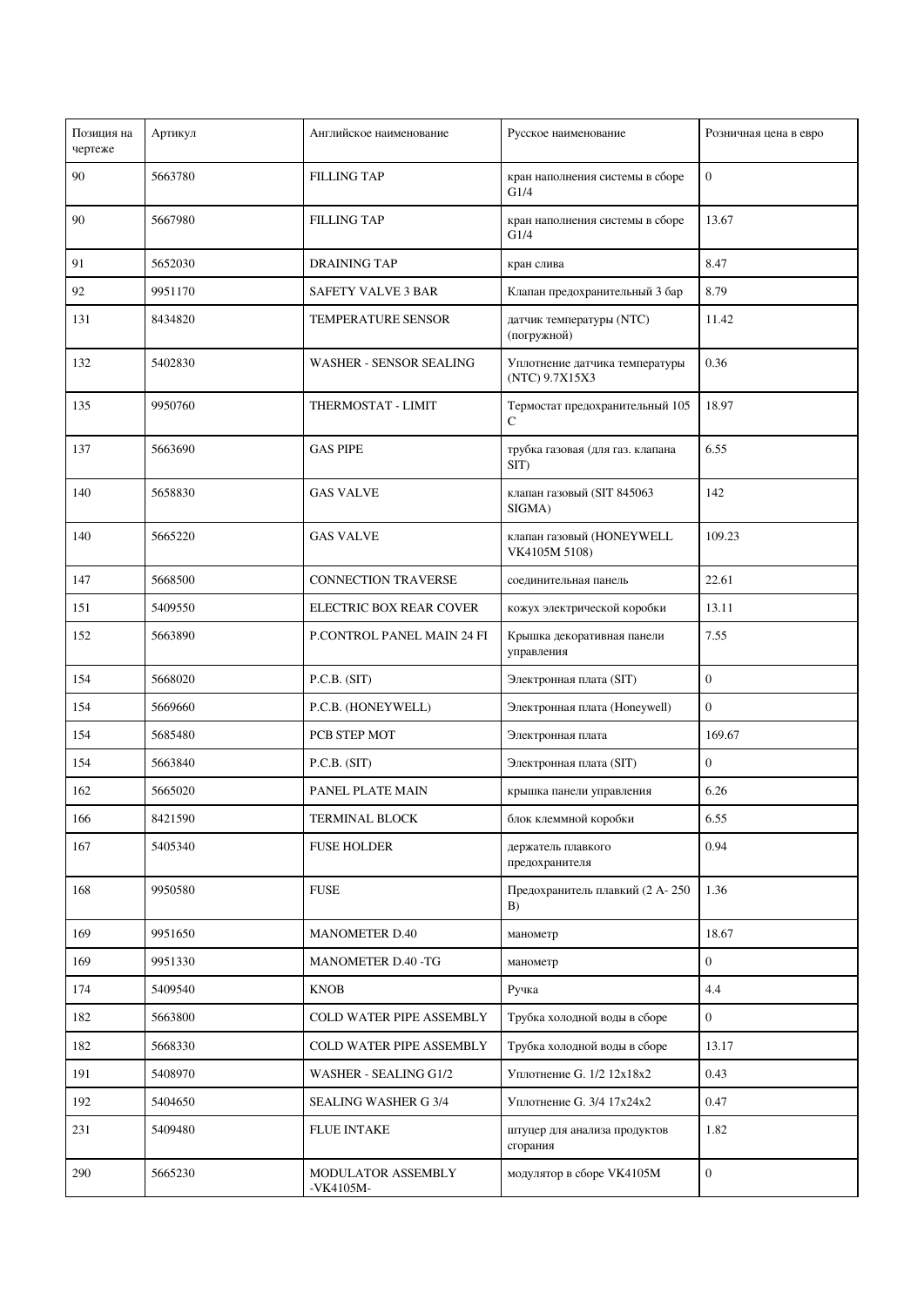| Позиция на<br>чертеже | Артикул | Английское наименование         | Русское наименование                             | Розничная цена в евро |
|-----------------------|---------|---------------------------------|--------------------------------------------------|-----------------------|
| 90                    | 5663780 | <b>FILLING TAP</b>              | кран наполнения системы в сборе<br>G1/4          | $\boldsymbol{0}$      |
| 90                    | 5667980 | <b>FILLING TAP</b>              | кран наполнения системы в сборе<br>G1/4          | 13.67                 |
| 91                    | 5652030 | <b>DRAINING TAP</b>             | кран слива                                       | 8.47                  |
| 92                    | 9951170 | <b>SAFETY VALVE 3 BAR</b>       | Клапан предохранительный 3 бар                   | 8.79                  |
| 131                   | 8434820 | <b>TEMPERATURE SENSOR</b>       | датчик температуры (NTC)<br>(погружной)          | 11.42                 |
| 132                   | 5402830 | <b>WASHER - SENSOR SEALING</b>  | Уплотнение датчика температуры<br>(NTC) 9.7X15X3 | 0.36                  |
| 135                   | 9950760 | THERMOSTAT - LIMIT              | Термостат предохранительный 105<br>C             | 18.97                 |
| 137                   | 5663690 | <b>GAS PIPE</b>                 | трубка газовая (для газ. клапана<br>$SIT$ )      | 6.55                  |
| 140                   | 5658830 | <b>GAS VALVE</b>                | клапан газовый (SIT 845063<br>SIGMA)             | 142                   |
| 140                   | 5665220 | <b>GAS VALVE</b>                | клапан газовый (HONEYWELL<br>VK4105M 5108)       | 109.23                |
| 147                   | 5668500 | <b>CONNECTION TRAVERSE</b>      | соединительная панель                            | 22.61                 |
| 151                   | 5409550 | ELECTRIC BOX REAR COVER         | кожух электрической коробки                      | 13.11                 |
| 152                   | 5663890 | P.CONTROL PANEL MAIN 24 FI      | Крышка декоративная панели<br>управления         | 7.55                  |
| 154                   | 5668020 | P.C.B. (SIT)                    | Электронная плата (SIT)                          | $\boldsymbol{0}$      |
| 154                   | 5669660 | P.C.B. (HONEYWELL)              | Электронная плата (Honeywell)                    | $\overline{0}$        |
| 154                   | 5685480 | PCB STEP MOT                    | Электронная плата                                | 169.67                |
| 154                   | 5663840 | P.C.B. (SIT)                    | Электронная плата (SIT)                          | $\overline{0}$        |
| 162                   | 5665020 | PANEL PLATE MAIN                | крышка панели управления                         | 6.26                  |
| 166                   | 8421590 | <b>TERMINAL BLOCK</b>           | блок клеммной коробки                            | 6.55                  |
| 167                   | 5405340 | <b>FUSE HOLDER</b>              | держатель плавкого<br>предохранителя             | 0.94                  |
| 168                   | 9950580 | <b>FUSE</b>                     | Предохранитель плавкий (2 А-250<br>B)            | 1.36                  |
| 169                   | 9951650 | <b>MANOMETER D.40</b>           | манометр                                         | 18.67                 |
| 169                   | 9951330 | MANOMETER D.40 -TG              | манометр                                         | $\boldsymbol{0}$      |
| 174                   | 5409540 | <b>KNOB</b>                     | Ручка                                            | 4.4                   |
| 182                   | 5663800 | COLD WATER PIPE ASSEMBLY        | Трубка холодной воды в сборе                     | $\boldsymbol{0}$      |
| 182                   | 5668330 | COLD WATER PIPE ASSEMBLY        | Трубка холодной воды в сборе                     | 13.17                 |
| 191                   | 5408970 | WASHER - SEALING G1/2           | Уплотнение G. 1/2 12х18х2                        | 0.43                  |
| 192                   | 5404650 | <b>SEALING WASHER G 3/4</b>     | Уплотнение G. 3/4 17х24х2                        | 0.47                  |
| 231                   | 5409480 | <b>FLUE INTAKE</b>              | штуцер для анализа продуктов<br>сгорания         | 1.82                  |
| 290                   | 5665230 | MODULATOR ASSEMBLY<br>-VK4105M- | модулятор в сборе VK4105M                        | $\boldsymbol{0}$      |